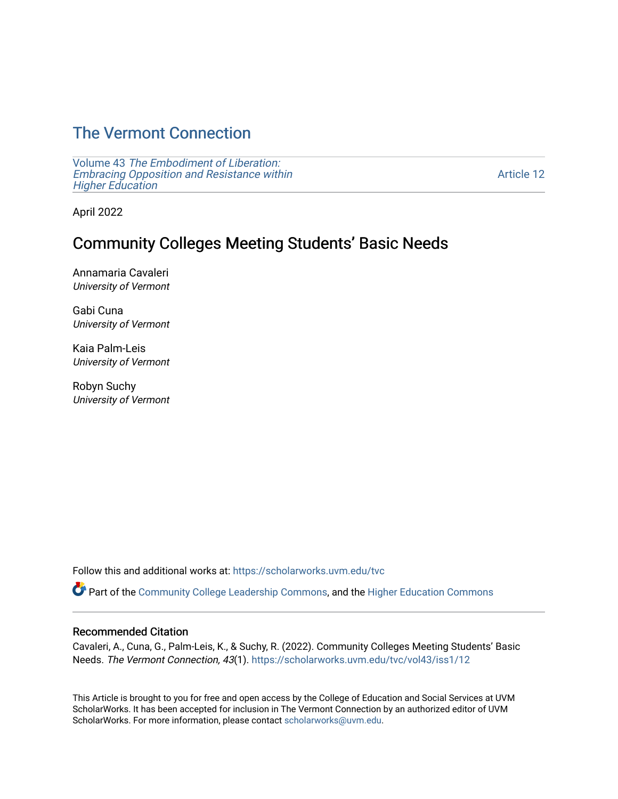# [The Vermont Connection](https://scholarworks.uvm.edu/tvc)

Volume 43 [The Embodiment of Liberation:](https://scholarworks.uvm.edu/tvc/vol43) [Embracing Opposition and Resistance within](https://scholarworks.uvm.edu/tvc/vol43)  [Higher Education](https://scholarworks.uvm.edu/tvc/vol43) 

[Article 12](https://scholarworks.uvm.edu/tvc/vol43/iss1/12) 

April 2022

## Community Colleges Meeting Students' Basic Needs

Annamaria Cavaleri University of Vermont

Gabi Cuna University of Vermont

Kaia Palm-Leis University of Vermont

Robyn Suchy University of Vermont

Follow this and additional works at: [https://scholarworks.uvm.edu/tvc](https://scholarworks.uvm.edu/tvc?utm_source=scholarworks.uvm.edu%2Ftvc%2Fvol43%2Fiss1%2F12&utm_medium=PDF&utm_campaign=PDFCoverPages)

Part of the [Community College Leadership Commons](http://network.bepress.com/hgg/discipline/1039?utm_source=scholarworks.uvm.edu%2Ftvc%2Fvol43%2Fiss1%2F12&utm_medium=PDF&utm_campaign=PDFCoverPages), and the [Higher Education Commons](http://network.bepress.com/hgg/discipline/1245?utm_source=scholarworks.uvm.edu%2Ftvc%2Fvol43%2Fiss1%2F12&utm_medium=PDF&utm_campaign=PDFCoverPages)

## Recommended Citation

Cavaleri, A., Cuna, G., Palm-Leis, K., & Suchy, R. (2022). Community Colleges Meeting Students' Basic Needs. The Vermont Connection, 43(1). [https://scholarworks.uvm.edu/tvc/vol43/iss1/12](https://scholarworks.uvm.edu/tvc/vol43/iss1/12?utm_source=scholarworks.uvm.edu%2Ftvc%2Fvol43%2Fiss1%2F12&utm_medium=PDF&utm_campaign=PDFCoverPages) 

This Article is brought to you for free and open access by the College of Education and Social Services at UVM ScholarWorks. It has been accepted for inclusion in The Vermont Connection by an authorized editor of UVM ScholarWorks. For more information, please contact [scholarworks@uvm.edu](mailto:scholarworks@uvm.edu).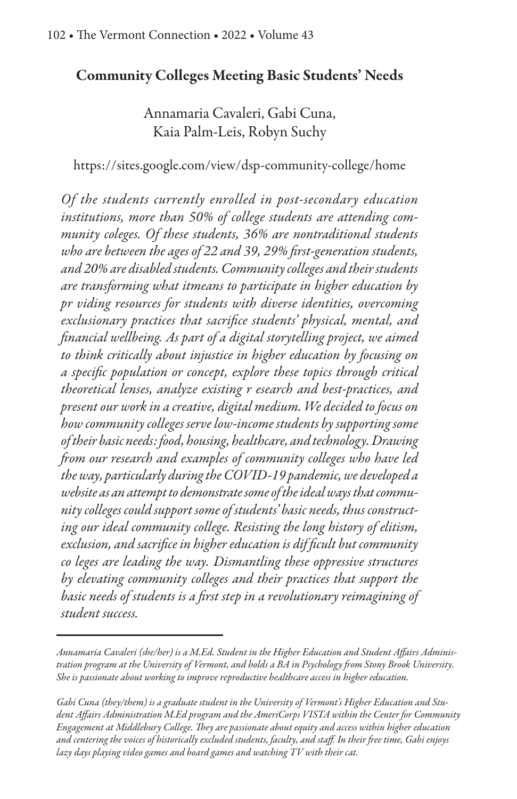## Community Colleges Meeting Basic Students' Needs

Annamaria Cavaleri, Gabi Cuna, Kaia Palm-Leis, Robyn Suchy

https://sites.google.com/view/dsp-community-college/home

*Of the students currently enrolled in post-secondary education institutions, more than 50% of college students are attending community coleges. Of these students, 36% are nontraditional students who are between the ages of 22 and 39, 29%* &*rst-generation students, and 20% are disabled students. Community colleges and their students are transforming what itmeans to participate in higher education by pr viding resources for students with diverse identities, overcoming exclusionary practices that sacri*&*ce students' physical, mental, and* &*nancial wellbeing. As part of a digital storytelling project, we aimed to think critically about injustice in higher education by focusing on a speci*&*c population or concept, explore these topics through critical theoretical lenses, analyze existing r esearch and best-practices, and present our work in a creative, digital medium. We decided to focus on how community colleges serve low-income students by supporting some of their basic needs: food, housing, healthcare, and technology. Drawing*  !*om our research and examples of community colleges who have led the way, particularly during the COVID-19 pandemic, we developed a website as an attempt to demonstrate some of the ideal ways that community colleges could support some of students' basic needs, thus constructing our ideal community college. Resisting the long history of elitism,*  $exclusion, and sacrifice in higher education is difficult but community$ *co leges are leading the way. Dismantling these oppressive structures by elevating community colleges and their practices that support the basic needs of students is a* &*rst step in a revolutionary reimagining of student success.*

*Annamaria Cavaleri (she/her) is a M.Ed. Student in the Higher Education and Student A*"*airs Administration program at the University of Vermont, and holds a BA in Psychology from Stony Brook University. She is passionate about working to impro*v*e reproductive healthcare access in higher education.* 

*Gabi Cuna (they/them) is a graduate student in the University of Vermont's Higher Education and Student A*"*airs Administration M.Ed program and the AmeriCorps VISTA within the Center for Community Engagement at Middlebury College. They are passionate about equity and access within higher education and centering the* v*oices of historically excluded students, faculty, and sta*"*. In their* !*ee time, Gabi enjoys lazy days playing video games and board games and watching TV with their cat.*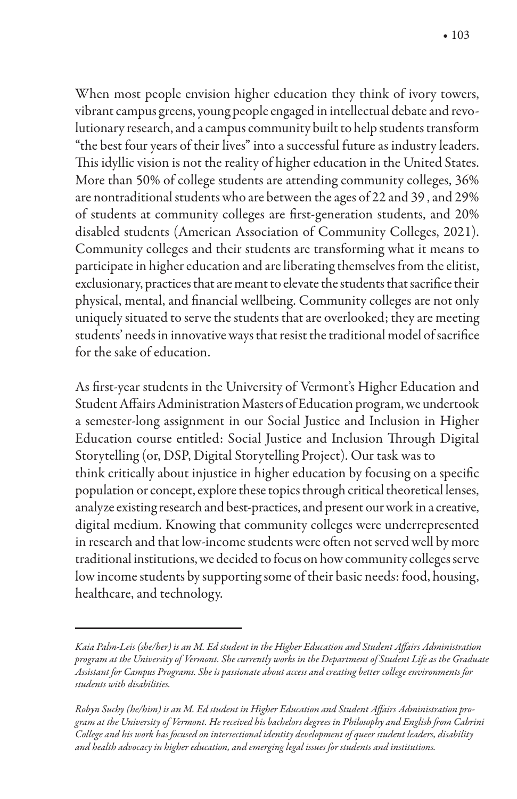When most people envision higher education they think of ivory towers, vibrant campus greens, young people engaged in intellectual debate and revolutionary research, and a campus community built to help students transform "the best four years of their lives" into a successful future as industry leaders. This idyllic vision is not the reality of higher education in the United States. More than 50% of college students are attending community colleges, 36% are nontraditional students who are between the ages of 22 and 39 , and 29% of students at community colleges are first-generation students, and 20% disabled students (American Association of Community Colleges, 2021). Community colleges and their students are transforming what it means to participate in higher education and are liberating themselves from the elitist, exclusionary, practices that are meant to elevate the students that sacrifice their physical, mental, and financial wellbeing. Community colleges are not only uniquely situated to serve the students that are overlooked; they are meeting students' needs in innovative ways that resist the traditional model of sacrifice for the sake of education.

As first-year students in the University of Vermont's Higher Education and Student Affairs Administration Masters of Education program, we undertook a semester-long assignment in our Social Justice and Inclusion in Higher Education course entitled: Social Justice and Inclusion Through Digital Storytelling (or, DSP, Digital Storytelling Project). Our task was to think critically about injustice in higher education by focusing on a specific population or concept, explore these topics through critical theoretical lenses, analyze existing research and best-practices, and present our work in a creative, digital medium. Knowing that community colleges were underrepresented in research and that low-income students were often not served well by more traditional institutions, we decided to focus on how community colleges serve low income students by supporting some of their basic needs: food, housing, healthcare, and technology.

*Kaia Palm-Leis (she/her) is an M. Ed student in the Higher Education and Student A*"*airs Administration program at the University of Vermont. She currently works in the Department of Student Life as the Graduate Assistant for Campus Programs. She is passionate about access and creating better college en*v*ironments for students with disabilities.* 

*Robyn Suchy (he/him) is an M. Ed student in Higher Education and Student A*"*airs Administration program at the University of Vermont. He received his bachelors degrees in Philosophy and English* !*om Cabrini College and his work has focused on intersectional identity development of queer student leaders, disability and health advocacy in higher education, and emerging legal issues for students and institutions.*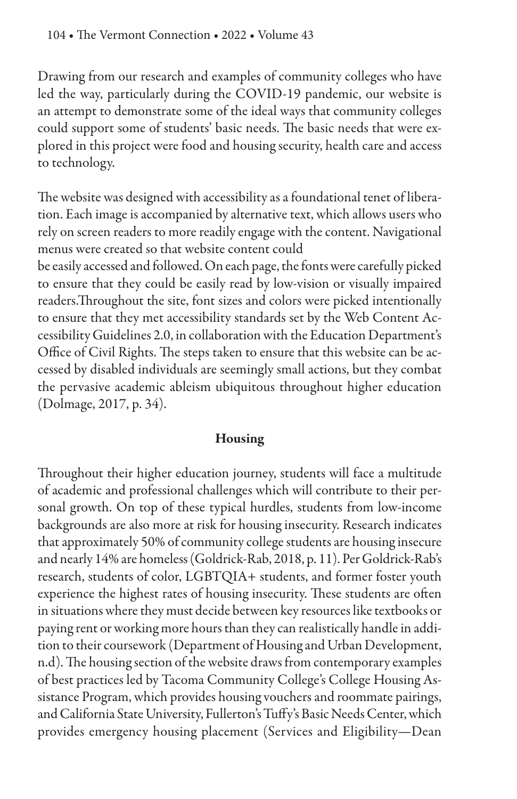Drawing from our research and examples of community colleges who have led the way, particularly during the COVID-19 pandemic, our website is an attempt to demonstrate some of the ideal ways that community colleges could support some of students' basic needs. The basic needs that were explored in this project were food and housing security, health care and access to technology.

The website was designed with accessibility as a foundational tenet of liberation. Each image is accompanied by alternative text, which allows users who rely on screen readers to more readily engage with the content. Navigational menus were created so that website content could

be easily accessed and followed. On each page, the fonts were carefully picked to ensure that they could be easily read by low-vision or visually impaired readers. Throughout the site, font sizes and colors were picked intentionally to ensure that they met accessibility standards set by the Web Content Accessibility Guidelines 2.0, in collaboration with the Education Department's Office of Civil Rights. The steps taken to ensure that this website can be accessed by disabled individuals are seemingly small actions, but they combat the pervasive academic ableism ubiquitous throughout higher education (Dolmage, 2017, p. 34).

#### Housing

Throughout their higher education journey, students will face a multitude of academic and professional challenges which will contribute to their personal growth. On top of these typical hurdles, students from low-income backgrounds are also more at risk for housing insecurity. Research indicates that approximately 50% of community college students are housing insecure and nearly 14% are homeless (Goldrick-Rab, 2018, p. 11). Per Goldrick-Rab's research, students of color, LGBTQIA+ students, and former foster youth experience the highest rates of housing insecurity. These students are often in situations where they must decide between key resources like textbooks or paying rent or working more hours than they can realistically handle in addition to their coursework (Department of Housing and Urban Development, n.d). The housing section of the website draws from contemporary examples of best practices led by Tacoma Community College's College Housing Assistance Program, which provides housing vouchers and roommate pairings, and California State University, Fullerton's Tuffy's Basic Needs Center, which provides emergency housing placement (Services and Eligibility—Dean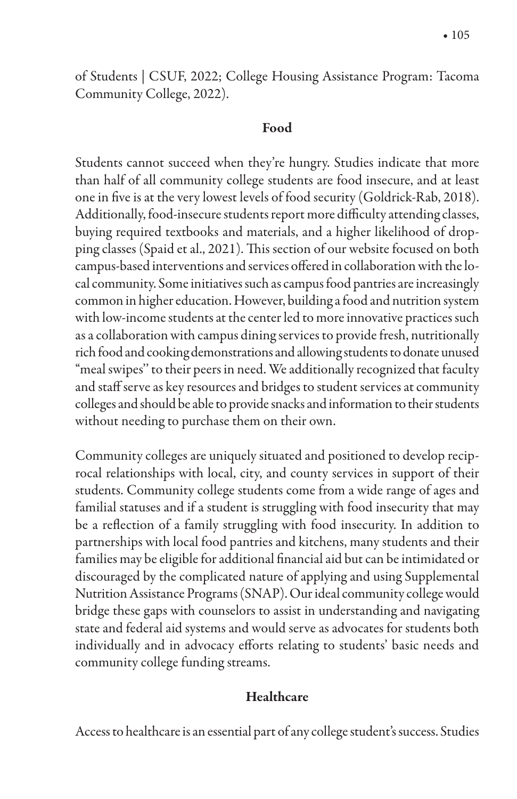of Students | CSUF, 2022; College Housing Assistance Program: Tacoma Community College, 2022).

#### Food

Students cannot succeed when they're hungry. Studies indicate that more than half of all community college students are food insecure, and at least one in five is at the very lowest levels of food security (Goldrick-Rab, 2018). Additionally, food-insecure students report more difficulty attending classes, buying required textbooks and materials, and a higher likelihood of dropping classes (Spaid et al., 2021). This section of our website focused on both campus-based interventions and services offered in collaboration with the local community. Some initiatives such as campus food pantries are increasingly common in higher education. However, building a food and nutrition system with low-income students at the center led to more innovative practices such as a collaboration with campus dining services to provide fresh, nutritionally rich food and cooking demonstrations and allowing students to donate unused "meal swipes'' to their peers in need. We additionally recognized that faculty and staff serve as key resources and bridges to student services at community colleges and should be able to provide snacks and information to their students without needing to purchase them on their own.

Community colleges are uniquely situated and positioned to develop reciprocal relationships with local, city, and county services in support of their students. Community college students come from a wide range of ages and familial statuses and if a student is struggling with food insecurity that may be a reflection of a family struggling with food insecurity. In addition to partnerships with local food pantries and kitchens, many students and their families may be eligible for additional financial aid but can be intimidated or discouraged by the complicated nature of applying and using Supplemental Nutrition Assistance Programs (SNAP). Our ideal community college would bridge these gaps with counselors to assist in understanding and navigating state and federal aid systems and would serve as advocates for students both individually and in advocacy efforts relating to students' basic needs and community college funding streams.

### **Healthcare**

Access to healthcare is an essential part of any college student's success. Studies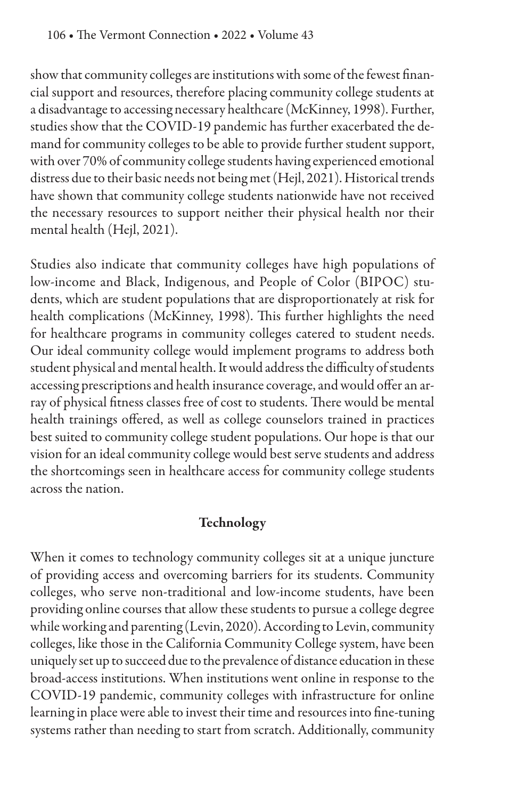show that community colleges are institutions with some of the fewest financial support and resources, therefore placing community college students at a disadvantage to accessing necessary healthcare (McKinney, 1998). Further, studies show that the COVID-19 pandemic has further exacerbated the demand for community colleges to be able to provide further student support, with over 70% of community college students having experienced emotional distress due to their basic needs not being met (Hejl, 2021). Historical trends have shown that community college students nationwide have not received the necessary resources to support neither their physical health nor their mental health (Hejl, 2021).

Studies also indicate that community colleges have high populations of low-income and Black, Indigenous, and People of Color (BIPOC) students, which are student populations that are disproportionately at risk for health complications (McKinney, 1998). This further highlights the need for healthcare programs in community colleges catered to student needs. Our ideal community college would implement programs to address both student physical and mental health. It would address the difficulty of students accessing prescriptions and health insurance coverage, and would offer an array of physical fitness classes free of cost to students. There would be mental health trainings offered, as well as college counselors trained in practices best suited to community college student populations. Our hope is that our vision for an ideal community college would best serve students and address the shortcomings seen in healthcare access for community college students across the nation.

## Technology

When it comes to technology community colleges sit at a unique juncture of providing access and overcoming barriers for its students. Community colleges, who serve non-traditional and low-income students, have been providing online courses that allow these students to pursue a college degree while working and parenting (Levin, 2020). According to Levin, community colleges, like those in the California Community College system, have been uniquely set up to succeed due to the prevalence of distance education in these broad-access institutions. When institutions went online in response to the COVID-19 pandemic, community colleges with infrastructure for online learning in place were able to invest their time and resources into fine-tuning systems rather than needing to start from scratch. Additionally, community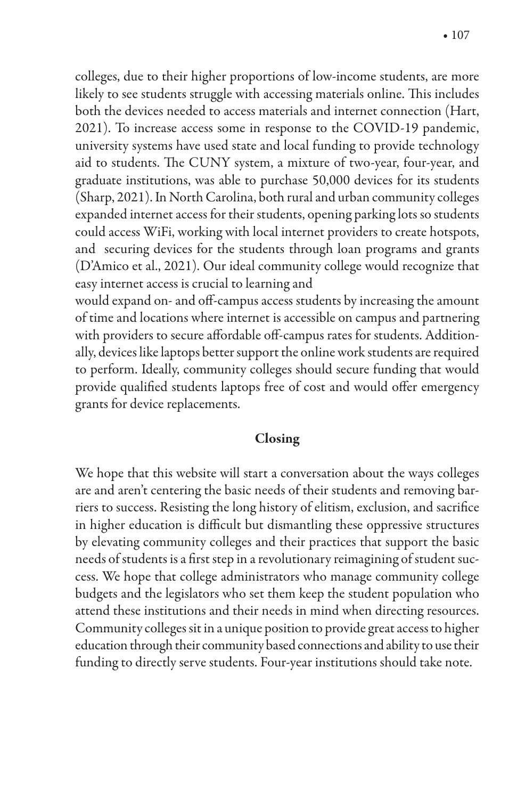colleges, due to their higher proportions of low-income students, are more likely to see students struggle with accessing materials online. This includes both the devices needed to access materials and internet connection (Hart, 2021). To increase access some in response to the COVID-19 pandemic, university systems have used state and local funding to provide technology aid to students. The CUNY system, a mixture of two-year, four-year, and graduate institutions, was able to purchase 50,000 devices for its students (Sharp, 2021). In North Carolina, both rural and urban community colleges expanded internet access for their students, opening parking lots so students could access WiFi, working with local internet providers to create hotspots, and securing devices for the students through loan programs and grants (D'Amico et al., 2021). Our ideal community college would recognize that easy internet access is crucial to learning and

would expand on- and off-campus access students by increasing the amount of time and locations where internet is accessible on campus and partnering with providers to secure affordable off-campus rates for students. Additionally, devices like laptops better support the online work students are required to perform. Ideally, community colleges should secure funding that would provide qualified students laptops free of cost and would offer emergency grants for device replacements.

#### Closing

We hope that this website will start a conversation about the ways colleges are and aren't centering the basic needs of their students and removing barriers to success. Resisting the long history of elitism, exclusion, and sacrifice in higher education is difficult but dismantling these oppressive structures by elevating community colleges and their practices that support the basic needs of students is a first step in a revolutionary reimagining of student success. We hope that college administrators who manage community college budgets and the legislators who set them keep the student population who attend these institutions and their needs in mind when directing resources. Community colleges sit in a unique position to provide great access to higher education through their community based connections and ability to use their funding to directly serve students. Four-year institutions should take note.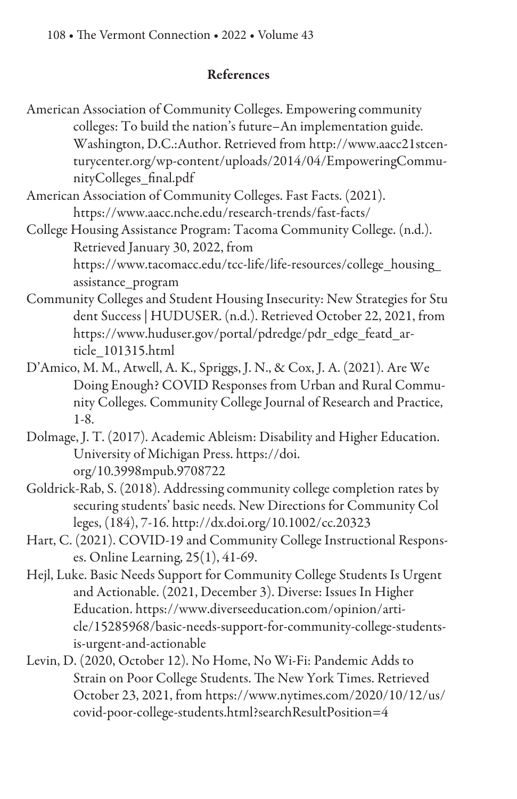### References

- American Association of Community Colleges. Empowering community colleges: To build the nation's future–An implementation guide. Washington, D.C.:Author. Retrieved from http://www.aacc21stcenturycenter.org/wp-content/uploads/2014/04/EmpoweringCommunityColleges\_%nal.pdf
- American Association of Community Colleges. Fast Facts. (2021). https://www.aacc.nche.edu/research-trends/fast-facts/
- College Housing Assistance Program: Tacoma Community College. (n.d.). Retrieved January 30, 2022, from https://www.tacomacc.edu/tcc-life/life-resources/college\_housing\_ assistance\_program
- Community Colleges and Student Housing Insecurity: New Strategies for Stu dent Success | HUDUSER. (n.d.). Retrieved October 22, 2021, from https://www.huduser.gov/portal/pdredge/pdr\_edge\_featd\_article\_101315.html
- D'Amico, M. M., Atwell, A. K., Spriggs, J. N., & Cox, J. A. (2021). Are We Doing Enough? COVID Responses from Urban and Rural Community Colleges. Community College Journal of Research and Practice, 1-8.
- Dolmage, J. T. (2017). Academic Ableism: Disability and Higher Education. University of Michigan Press. https://doi. org/10.3998mpub.9708722
- Goldrick-Rab, S. (2018). Addressing community college completion rates by securing students' basic needs. New Directions for Community Col leges, (184), 7-16. http://dx.doi.org/10.1002/cc.20323
- Hart, C. (2021). COVID-19 and Community College Instructional Responses. Online Learning, 25(1), 41-69.
- Hejl, Luke. Basic Needs Support for Community College Students Is Urgent and Actionable. (2021, December 3). Diverse: Issues In Higher Education. https://www.diverseeducation.com/opinion/article/15285968/basic-needs-support-for-community-college-studentsis-urgent-and-actionable
- Levin, D. (2020, October 12). No Home, No Wi-Fi: Pandemic Adds to Strain on Poor College Students. The New York Times. Retrieved October 23, 2021, from https://www.nytimes.com/2020/10/12/us/ covid-poor-college-students.html?searchResultPosition=4